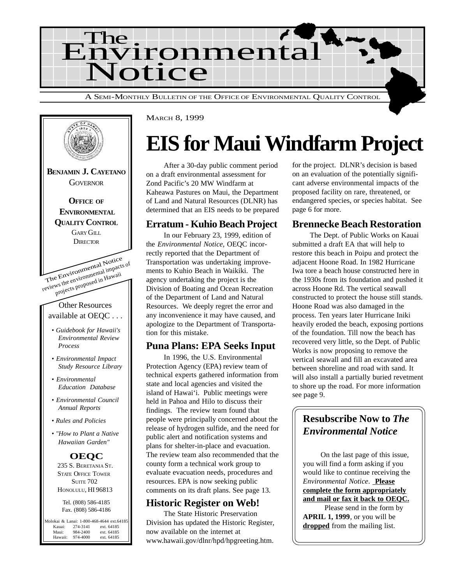



MARCH 8, 1999

## **EIS for Maui Windfarm Project**

After a 30-day public comment period on a draft environmental assessment for Zond Pacific's 20 MW Windfarm at Kaheawa Pastures on Maui, the Department of Land and Natural Resources (DLNR) has determined that an EIS needs to be prepared

#### **Erratum - Kuhio Beach Project**

In our February 23, 1999, edition of the *Environmental Notice*, OEQC incorrectly reported that the Department of Transportation was undertaking improvements to Kuhio Beach in Waikiki. The agency undertaking the project is the Division of Boating and Ocean Recreation of the Department of Land and Natural Resources. We deeply regret the error and any inconvenience it may have caused, and apologize to the Department of Transportation for this mistake.

#### **Puna Plans: EPA Seeks Input**

In 1996, the U.S. Environmental Protection Agency (EPA) review team of technical experts gathered information from state and local agencies and visited the island of Hawai'i. Public meetings were held in Pahoa and Hilo to discuss their findings. The review team found that people were principally concerned about the release of hydrogen sulfide, and the need for public alert and notification systems and plans for shelter-in-place and evacuation. The review team also recommended that the county form a technical work group to evaluate evacuation needs, procedures and resources. EPA is now seeking public comments on its draft plans. See page 13.

### **Historic Register on Web!**

The State Historic Preservation Division has updated the Historic Register, now available on the internet at www.hawaii.gov/dlnr/hpd/hpgreeting.htm.

for the project. DLNR's decision is based on an evaluation of the potentially significant adverse environmental impacts of the proposed facility on rare, threatened, or endangered species, or species habitat. See page 6 for more.

### **Brennecke Beach Restoration**

The Dept. of Public Works on Kauai submitted a draft EA that will help to restore this beach in Poipu and protect the adjacent Hoone Road. In 1982 Hurricane Iwa tore a beach house constructed here in the 1930s from its foundation and pushed it across Hoone Rd. The vertical seawall constructed to protect the house still stands. Hoone Road was also damaged in the process. Ten years later Hurricane Iniki heavily eroded the beach, exposing portions of the foundation. Till now the beach has recovered very little, so the Dept. of Public Works is now proposing to remove the vertical seawall and fill an excavated area between shoreline and road with sand. It will also install a partially buried revetment to shore up the road. For more information see page 9.

### **Resubscribe Now to** *The Environmental Notice*

On the last page of this issue, you will find a form asking if you would like to continue receiving the *Environmental Notice*. **Please complete the form appropriately and mail or fax it back to OEQC.** Please send in the form by **APRIL 1, 1999**, or you will be dropped from the mailing list.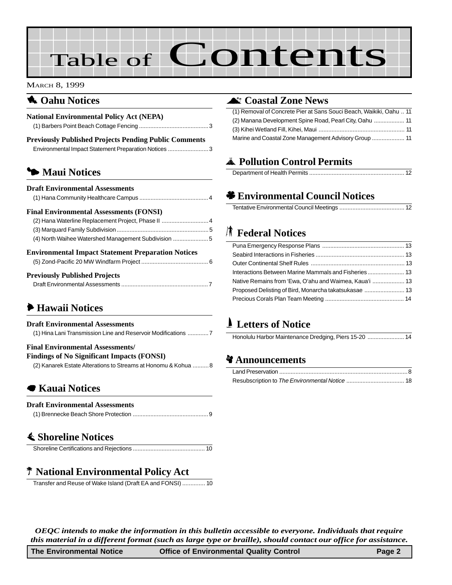# Table of Contents

#### MARCH 8, 1999

#### **1** Oahu Notices

| <b>National Environmental Policy Act (NEPA)</b>                                                                                                              |
|--------------------------------------------------------------------------------------------------------------------------------------------------------------|
| <b>Previously Published Projects Pending Public Comments</b><br>Environmental Impact Statement Preparation Notices 3                                         |
| • Maui Notices                                                                                                                                               |
| <b>Draft Environmental Assessments</b>                                                                                                                       |
| <b>Final Environmental Assessments (FONSI)</b><br>(2) Hana Waterline Replacement Project, Phase II  4<br>(4) North Waihee Watershed Management Subdivision 5 |
| <b>Environmental Impact Statement Preparation Notices</b>                                                                                                    |
| <b>Previously Published Projects</b>                                                                                                                         |

#### Draft Environmental Assessments ......................................................7

### 6 **Hawaii Notices**

#### **Draft Environmental Assessments**

(1) Hina Lani Transmission Line and Reservoir Modifications .............7

#### **Final Environmental Assessments/**

**Findings of No Significant Impacts (FONSI)**

(2) Kanarek Estate Alterations to Streams at Honomu & Kohua ..........8

#### 7 **Kauai Notices**

#### **Draft Environmental Assessments**

|--|--|

#### s **Shoreline Notices**

|--|--|

### P **National Environmental Policy Act**

Transfer and Reuse of Wake Island (Draft EA and FONSI) .............. 10

#### ^ **Coastal Zone News**

| (1) Removal of Concrete Pier at Sans Souci Beach, Waikiki, Oahu  11 |
|---------------------------------------------------------------------|
| (2) Manana Development Spine Road, Pearl City, Oahu  11             |
|                                                                     |
|                                                                     |

### V **Pollution Control Permits**

### ' **Environmental Council Notices**

### **K** Federal Notices

| Native Remains from 'Ewa, O'ahu and Waimea, Kaua'i  13 |  |
|--------------------------------------------------------|--|
|                                                        |  |
|                                                        |  |

### - **Letters of Notice**

#### c **Announcements**

*OEQC intends to make the information in this bulletin accessible to everyone. Individuals that require this material in a different format (such as large type or braille), should contact our office for assistance.*

| The Environmental Notice | <b>Office of Environmental Quality Control</b> | Page 2 |
|--------------------------|------------------------------------------------|--------|
|--------------------------|------------------------------------------------|--------|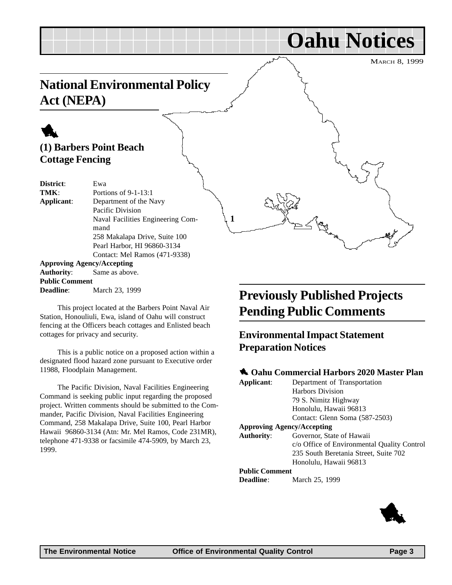## **Oahu Notices**

MARCH 8, 1999

## **National Environmental Policy Act (NEPA)**

### 1 **(1) Barbers Point Beach Cottage Fencing**

**District**: Ewa **TMK**: Portions of 9-1-13:1 **Applicant**: Department of the Navy Pacific Division Naval Facilities Engineering Command 258 Makalapa Drive, Suite 100 Pearl Harbor, HI 96860-3134 Contact: Mel Ramos (471-9338) **Approving Agency/Accepting Authority**: Same as above. **Public Comment**

**Deadline**: March 23, 1999

This project located at the Barbers Point Naval Air Station, Honouliuli, Ewa, island of Oahu will construct fencing at the Officers beach cottages and Enlisted beach cottages for privacy and security.

This is a public notice on a proposed action within a designated flood hazard zone pursuant to Executive order 11988, Floodplain Management.

The Pacific Division, Naval Facilities Engineering Command is seeking public input regarding the proposed project. Written comments should be submitted to the Commander, Pacific Division, Naval Facilities Engineering Command, 258 Makalapa Drive, Suite 100, Pearl Harbor Hawaii 96860-3134 (Atn: Mr. Mel Ramos, Code 231MR), telephone 471-9338 or facsimile 474-5909, by March 23, 1999.

## **Previously Published Projects Pending Public Comments**

### **Environmental Impact Statement Preparation Notices**

#### **1** Oahu Commercial Harbors 2020 Master Plan

| Applicant:                        | Department of Transportation                |
|-----------------------------------|---------------------------------------------|
|                                   | <b>Harbors Division</b>                     |
|                                   | 79 S. Nimitz Highway                        |
|                                   | Honolulu, Hawaii 96813                      |
|                                   | Contact: Glenn Soma (587-2503)              |
| <b>Approving Agency/Accepting</b> |                                             |
| <b>Authority:</b>                 | Governor, State of Hawaii                   |
|                                   | c/o Office of Environmental Quality Control |
|                                   | 235 South Beretania Street, Suite 702       |
|                                   | Honolulu, Hawaii 96813                      |
| <b>Public Comment</b>             |                                             |
| <b>Deadline:</b>                  | March 25, 1999                              |



**1**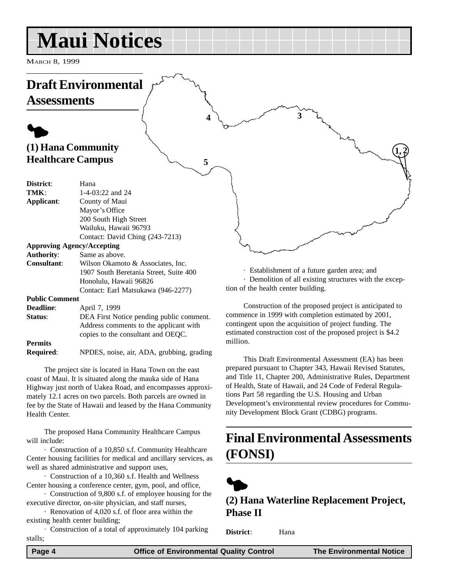## **Maui Notices**

MARCH 8, 1999

#### **Draft Environmental Assessments**  $\blacklozenge$ **(1) Hana Community Healthcare Campus District**: Hana **TMK**: 1-4-03:22 and 24 **Applicant**: County of Maui Mayor's Office 200 South High Street Wailuku, Hawaii 96793 Contact: David Ching (243-7213) **Approving Agency/Accepting Authority**: Same as above. **Consultant**: Wilson Okamoto & Associates, Inc. 1907 South Beretania Street, Suite 400 Honolulu, Hawaii 96826 · Establishment of a future garden area; and **1, 2**  $4\lambda$   $\sim$   $3\lambda$ **5**

Contact: Earl Matsukawa (946-2277)

#### **Public Comment**

| <b>Deadline:</b> | April 7, 1999                             |
|------------------|-------------------------------------------|
| Status:          | DEA First Notice pending public comment.  |
|                  | Address comments to the applicant with    |
|                  | copies to the consultant and OEOC.        |
| <b>Permits</b>   |                                           |
| <b>Required:</b> | NPDES, noise, air, ADA, grubbing, grading |

The project site is located in Hana Town on the east coast of Maui. It is situated along the mauka side of Hana Highway just north of Uakea Road, and encompasses approximately 12.1 acres on two parcels. Both parcels are owned in fee by the State of Hawaii and leased by the Hana Community Health Center.

The proposed Hana Community Healthcare Campus will include:

· Construction of a 10,850 s.f. Community Healthcare Center housing facilities for medical and ancillary services, as well as shared administrative and support uses,

· Construction of a 10,360 s.f. Health and Wellness Center housing a conference center, gym, pool, and office,

· Construction of 9,800 s.f. of employee housing for the executive director, on-site physician, and staff nurses,

· Renovation of 4,020 s.f. of floor area within the existing health center building;

· Construction of a total of approximately 104 parking stalls;

· Demolition of all existing structures with the exception of the health center building.

Construction of the proposed project is anticipated to commence in 1999 with completion estimated by 2001, contingent upon the acquisition of project funding. The estimated construction cost of the proposed project is \$4.2 million.

This Draft Environmental Assessment (EA) has been prepared pursuant to Chapter 343, Hawaii Revised Statutes, and Title 11, Chapter 200, Administrative Rules, Department of Health, State of Hawaii, and 24 Code of Federal Regulations Part 58 regarding the U.S. Housing and Urban Development's environmental review procedures for Community Development Block Grant (CDBG) programs.

## **Final Environmental Assessments (FONSI)**



**(2) Hana Waterline Replacement Project, Phase II**

**District**: Hana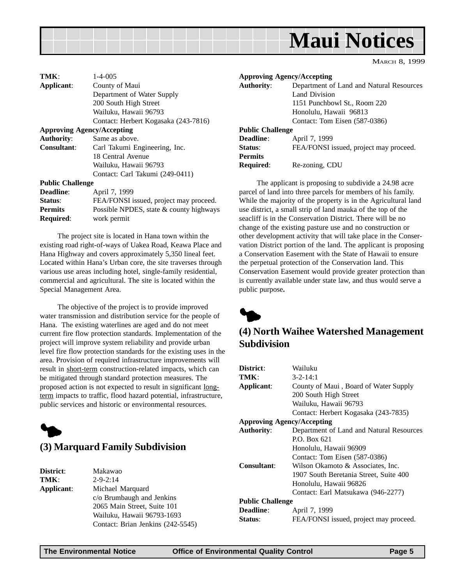

MARCH 8, 1999

| TMK:                    | $1 - 4 - 005$                           |
|-------------------------|-----------------------------------------|
| Applicant:              | County of Maui                          |
|                         | Department of Water Supply              |
|                         | 200 South High Street                   |
|                         | Wailuku, Hawaii 96793                   |
|                         | Contact: Herbert Kogasaka (243-7816)    |
|                         | <b>Approving Agency/Accepting</b>       |
| <b>Authority:</b>       | Same as above.                          |
| <b>Consultant:</b>      | Carl Takumi Engineering, Inc.           |
|                         | 18 Central Avenue                       |
|                         | Wailuku, Hawaii 96793                   |
|                         | Contact: Carl Takumi (249-0411)         |
| <b>Public Challenge</b> |                                         |
| Deadline:               | April 7, 1999                           |
| Status:                 | FEA/FONSI issued, project may proceed.  |
| <b>Permits</b>          | Possible NPDES, state & county highways |
| <b>Required:</b>        | work permit                             |

The project site is located in Hana town within the existing road right-of-ways of Uakea Road, Keawa Place and Hana Highway and covers approximately 5,350 lineal feet. Located within Hana's Urban core, the site traverses through various use areas including hotel, single-family residential, commercial and agricultural. The site is located within the Special Management Area.

The objective of the project is to provide improved water transmission and distribution service for the people of Hana. The existing waterlines are aged and do not meet current fire flow protection standards. Implementation of the project will improve system reliability and provide urban level fire flow protection standards for the existing uses in the area. Provision of required infrastructure improvements will result in short-term construction-related impacts, which can be mitigated through standard protection measures. The proposed action is not expected to result in significant longterm impacts to traffic, flood hazard potential, infrastructure, public services and historic or environmental resources.



#### **(3) Marquard Family Subdivision**

| District:  |
|------------|
| TMK:       |
| Applicant: |

**District**: Makawao **TMK**: 2-9-2:14 **Applicant**: Michael Marquard c/o Brumbaugh and Jenkins 2065 Main Street, Suite 101 Wailuku, Hawaii 96793-1693 Contact: Brian Jenkins (242-5545)

|                         | <b>Approving Agency/Accepting</b>        |
|-------------------------|------------------------------------------|
| <b>Authority:</b>       | Department of Land and Natural Resources |
|                         | Land Division                            |
|                         | 1151 Punchbowl St., Room 220             |
|                         | Honolulu, Hawaii 96813                   |
|                         | Contact: Tom Eisen (587-0386)            |
| <b>Public Challenge</b> |                                          |
| Deadline:               | April 7, 1999                            |
| Status:                 | FEA/FONSI issued, project may proceed.   |
| <b>Permits</b>          |                                          |
| <b>Required:</b>        | Re-zoning, CDU                           |

The applicant is proposing to subdivide a 24.98 acre parcel of land into three parcels for members of his family. While the majority of the property is in the Agricultural land use district, a small strip of land mauka of the top of the seacliff is in the Conservation District. There will be no change of the existing pasture use and no construction or other development activity that will take place in the Conservation District portion of the land. The applicant is proposing a Conservation Easement with the State of Hawaii to ensure the perpetual protection of the Conservation land. This Conservation Easement would provide greater protection than is currently available under state law, and thus would serve a public purpose**.**



#### **(4) North Waihee Watershed Management Subdivision**

| District:                         | Wailuku                                  |
|-----------------------------------|------------------------------------------|
| TMK:                              | $3 - 2 - 14:1$                           |
| Applicant:                        | County of Maui, Board of Water Supply    |
|                                   | 200 South High Street                    |
|                                   | Wailuku, Hawaii 96793                    |
|                                   | Contact: Herbert Kogasaka (243-7835)     |
| <b>Approving Agency/Accepting</b> |                                          |
| <b>Authority:</b>                 | Department of Land and Natural Resources |
|                                   | $P.$ Box 621                             |
|                                   | Honolulu, Hawaii 96909                   |
|                                   | Contact: Tom Eisen (587-0386)            |
| Consultant:                       | Wilson Okamoto & Associates, Inc.        |
|                                   | 1907 South Beretania Street, Suite 400   |
|                                   | Honolulu, Hawaii 96826                   |
|                                   | Contact: Earl Matsukawa (946-2277)       |
| <b>Public Challenge</b>           |                                          |
| <b>Deadline:</b>                  | April 7, 1999                            |
| Status:                           | FEA/FONSI issued, project may proceed.   |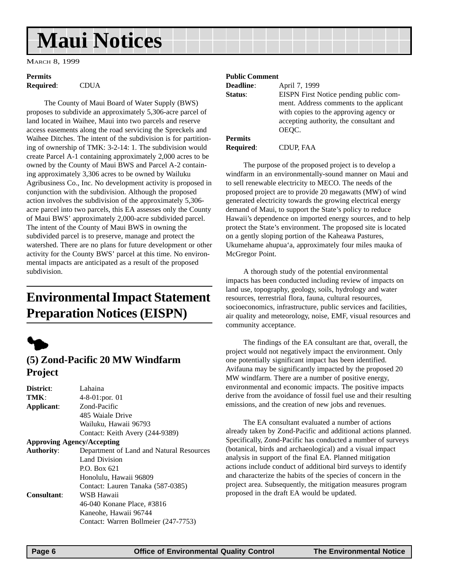## **Maui Notices**

MARCH 8, 1999

## **Permits**

**Required**: CDUA

The County of Maui Board of Water Supply (BWS) proposes to subdivide an approximately 5,306-acre parcel of land located in Waihee, Maui into two parcels and reserve access easements along the road servicing the Spreckels and Waihee Ditches. The intent of the subdivision is for partitioning of ownership of TMK: 3-2-14: 1. The subdivision would create Parcel A-1 containing approximately 2,000 acres to be owned by the County of Maui BWS and Parcel A-2 containing approximately 3,306 acres to be owned by Wailuku Agribusiness Co., Inc. No development activity is proposed in conjunction with the subdivision. Although the proposed action involves the subdivision of the approximately 5,306 acre parcel into two parcels, this EA assesses only the County of Maui BWS' approximately 2,000-acre subdivided parcel. The intent of the County of Maui BWS in owning the subdivided parcel is to preserve, manage and protect the watershed. There are no plans for future development or other activity for the County BWS' parcel at this time. No environmental impacts are anticipated as a result of the proposed subdivision.

## **Environmental Impact Statement Preparation Notices (EISPN)**



#### **(5) Zond-Pacific 20 MW Windfarm Project**

| District:          | Lahaina                                  |
|--------------------|------------------------------------------|
| TMK:               | $4-8-01$ : por. 01                       |
| Applicant:         | Zond-Pacific                             |
|                    | 485 Waiale Drive                         |
|                    | Wailuku, Hawaii 96793                    |
|                    | Contact: Keith Avery (244-9389)          |
|                    | <b>Approving Agency/Accepting</b>        |
| <b>Authority:</b>  | Department of Land and Natural Resources |
|                    | Land Division                            |
|                    | P.O. Box 621                             |
|                    | Honolulu, Hawaii 96809                   |
|                    | Contact: Lauren Tanaka (587-0385)        |
| <b>Consultant:</b> | WSB Hawaii                               |
|                    | 46-040 Konane Place, #3816               |
|                    | Kaneohe, Hawaii 96744                    |
|                    | Contact: Warren Bollmeier (247-7753)     |

#### **Public Comment**

| <b>Deadline:</b> | April 7, 1999                           |
|------------------|-----------------------------------------|
| Status:          | EISPN First Notice pending public com-  |
|                  | ment. Address comments to the applicant |
|                  | with copies to the approving agency or  |
|                  | accepting authority, the consultant and |
|                  | OEOC.                                   |
| <b>Permits</b>   |                                         |

**Required**: CDUP, FAA

The purpose of the proposed project is to develop a windfarm in an environmentally-sound manner on Maui and to sell renewable electricity to MECO. The needs of the proposed project are to provide 20 megawatts (MW) of wind generated electricity towards the growing electrical energy demand of Maui, to support the State's policy to reduce Hawaii's dependence on imported energy sources, and to help protect the State's environment. The proposed site is located on a gently sloping portion of the Kaheawa Pastures, Ukumehame ahupua'a, approximately four miles mauka of McGregor Point.

A thorough study of the potential environmental impacts has been conducted including review of impacts on land use, topography, geology, soils, hydrology and water resources, terrestrial flora, fauna, cultural resources, socioeconomics, infrastructure, public services and facilities, air quality and meteorology, noise, EMF, visual resources and community acceptance.

The findings of the EA consultant are that, overall, the project would not negatively impact the environment. Only one potentially significant impact has been identified. Avifauna may be significantly impacted by the proposed 20 MW windfarm. There are a number of positive energy, environmental and economic impacts. The positive impacts derive from the avoidance of fossil fuel use and their resulting emissions, and the creation of new jobs and revenues.

The EA consultant evaluated a number of actions already taken by Zond-Pacific and additional actions planned. Specifically, Zond-Pacific has conducted a number of surveys (botanical, birds and archaeological) and a visual impact analysis in support of the final EA. Planned mitigation actions include conduct of additional bird surveys to identify and characterize the habits of the species of concern in the project area. Subsequently, the mitigation measures program proposed in the draft EA would be updated.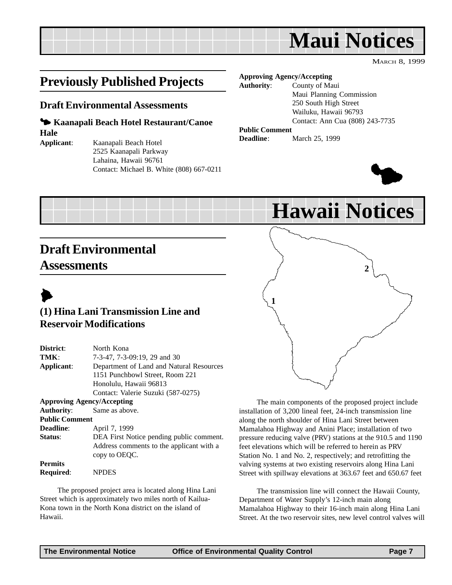## **Maui Notices**

MARCH 8, 1999

## **Previously Published Projects**

#### **Draft Environmental Assessments**

#### 3 **Kaanapali Beach Hotel Restaurant/Canoe Hale**

- 
- **Applicant**: Kaanapali Beach Hotel 2525 Kaanapali Parkway Lahaina, Hawaii 96761 Contact: Michael B. White (808) 667-0211

#### **Approving Agency/Accepting**

**Authority**: County of Maui Maui Planning Commission 250 South High Street Wailuku, Hawaii 96793 Contact: Ann Cua (808) 243-7735

#### **Public Comment**

**Deadline**: March 25, 1999



## **Hawaii Notices**

## **Draft Environmental Assessments**



### **(1) Hina Lani Transmission Line and Reservoir Modifications**

| District:                         | North Kona                               |  |
|-----------------------------------|------------------------------------------|--|
| TMK:                              | 7-3-47, 7-3-09:19, 29 and 30             |  |
| Applicant:                        | Department of Land and Natural Resources |  |
|                                   | 1151 Punchbowl Street, Room 221          |  |
|                                   | Honolulu, Hawaii 96813                   |  |
|                                   | Contact: Valerie Suzuki (587-0275)       |  |
| <b>Approving Agency/Accepting</b> |                                          |  |
| <b>Authority:</b>                 | Same as above.                           |  |
| <b>Public Comment</b>             |                                          |  |
| Deadline:                         | April 7, 1999                            |  |
| Status:                           | DEA First Notice pending public comment. |  |
|                                   | Address comments to the applicant with a |  |
|                                   | copy to OEQC.                            |  |
| <b>Permits</b>                    |                                          |  |
| Required:                         | <b>NPDES</b>                             |  |

The proposed project area is located along Hina Lani Street which is approximately two miles north of Kailua-Kona town in the North Kona district on the island of Hawaii.



The main components of the proposed project include installation of 3,200 lineal feet, 24-inch transmission line along the north shoulder of Hina Lani Street between Mamalahoa Highway and Anini Place; installation of two pressure reducing valve (PRV) stations at the 910.5 and 1190 feet elevations which will be referred to herein as PRV Station No. 1 and No. 2, respectively; and retrofitting the valving systems at two existing reservoirs along Hina Lani Street with spillway elevations at 363.67 feet and 650.67 feet

The transmission line will connect the Hawaii County, Department of Water Supply's 12-inch main along Mamalahoa Highway to their 16-inch main along Hina Lani Street. At the two reservoir sites, new level control valves will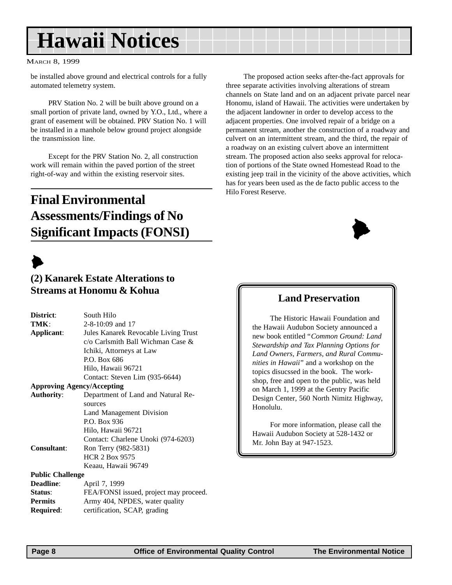## **Hawaii Notices**

#### MARCH 8, 1999

be installed above ground and electrical controls for a fully automated telemetry system.

PRV Station No. 2 will be built above ground on a small portion of private land, owned by Y.O., Ltd., where a grant of easement will be obtained. PRV Station No. 1 will be installed in a manhole below ground project alongside the transmission line.

Except for the PRV Station No. 2, all construction work will remain within the paved portion of the street right-of-way and within the existing reservoir sites.

## **Final Environmental Assessments/Findings of No Significant Impacts (FONSI)**

## $\blacktriangleright$

#### **(2) Kanarek Estate Alterations to Streams at Honomu & Kohua**

| District:               | South Hilo                                                                                                                                            |
|-------------------------|-------------------------------------------------------------------------------------------------------------------------------------------------------|
| TMK:                    | 2-8-10:09 and 17                                                                                                                                      |
| Applicant:              | Jules Kanarek Revocable Living Trust<br>c/o Carlsmith Ball Wichman Case &<br>Ichiki, Attorneys at Law<br>P.O. Box 686<br>Hilo, Hawaii 96721           |
|                         | Contact: Steven Lim (935-6644)                                                                                                                        |
|                         | <b>Approving Agency/Accepting</b>                                                                                                                     |
| <b>Authority:</b>       | Department of Land and Natural Re-<br>sources<br>Land Management Division<br>P.O. Box 936<br>Hilo, Hawaii 96721<br>Contact: Charlene Unoki (974-6203) |
| <b>Consultant:</b>      | Ron Terry (982-5831)<br><b>HCR 2 Box 9575</b><br>Keaau, Hawaii 96749                                                                                  |
| <b>Public Challenge</b> |                                                                                                                                                       |
| <b>Deadline:</b>        | April 7, 1999                                                                                                                                         |
| Status:                 | FEA/FONSI issued, project may proceed.                                                                                                                |
| <b>Permits</b>          | Army 404, NPDES, water quality                                                                                                                        |
| <b>Required:</b>        | certification, SCAP, grading                                                                                                                          |

The proposed action seeks after-the-fact approvals for three separate activities involving alterations of stream channels on State land and on an adjacent private parcel near Honomu, island of Hawaii. The activities were undertaken by the adjacent landowner in order to develop access to the adjacent properties. One involved repair of a bridge on a permanent stream, another the construction of a roadway and culvert on an intermittent stream, and the third, the repair of a roadway on an existing culvert above an intermittent stream. The proposed action also seeks approval for relocation of portions of the State owned Homestead Road to the existing jeep trail in the vicinity of the above activities, which has for years been used as the de facto public access to the Hilo Forest Reserve.



#### **Land Preservation**

The Historic Hawaii Foundation and the Hawaii Audubon Society announced a new book entitled "*Common Ground: Land Stewardship and Tax Planning Options for Land Owners, Farmers, and Rural Communities in Hawaii*" and a workshop on the topics disucssed in the book. The workshop, free and open to the public, was held on March 1, 1999 at the Gentry Pacific Design Center, 560 North Nimitz Highway, Honolulu.

For more information, please call the Hawaii Audubon Society at 528-1432 or Mr. John Bay at 947-1523.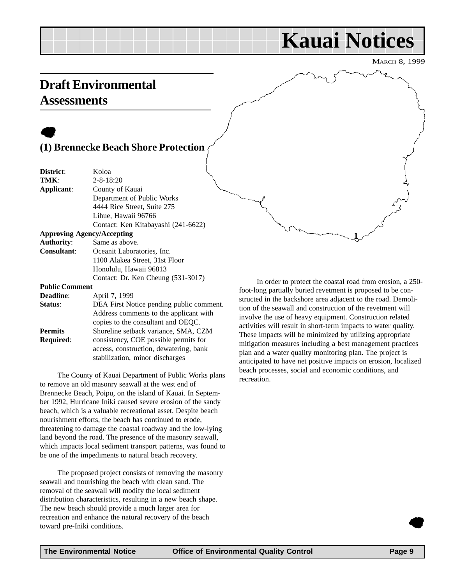## **Kauai Notices**

MARCH 8, 1999

### **Draft Environmental Assessments**

### $\bullet$ **(1) Brennecke Beach Shore Protection**

| District:                         | Koloa                                    |
|-----------------------------------|------------------------------------------|
| TMK:                              | $2 - 8 - 18:20$                          |
| Applicant:                        | County of Kauai                          |
|                                   | Department of Public Works               |
|                                   | 4444 Rice Street, Suite 275              |
|                                   | Lihue, Hawaii 96766                      |
|                                   | Contact: Ken Kitabayashi (241-6622)      |
| <b>Approving Agency/Accepting</b> |                                          |
| <b>Authority:</b>                 | Same as above.                           |
| <b>Consultant:</b>                | Oceanit Laboratories, Inc.               |
|                                   | 1100 Alakea Street, 31st Floor           |
|                                   | Honolulu, Hawaii 96813                   |
|                                   | Contact: Dr. Ken Cheung (531-3017)       |
| <b>Public Comment</b>             |                                          |
| <b>Deadline:</b>                  | April 7, 1999                            |
| <b>Status:</b>                    | DEA First Notice pending public comment. |
|                                   | Address comments to the applicant with   |

copies to the consultant and OEQC. **Permits** Shoreline setback variance, SMA, CZM **Required:** consistency, COE possible permits for access, construction, dewatering, bank stabilization, minor discharges

The County of Kauai Department of Public Works plans to remove an old masonry seawall at the west end of Brennecke Beach, Poipu, on the island of Kauai. In September 1992, Hurricane Iniki caused severe erosion of the sandy beach, which is a valuable recreational asset. Despite beach nourishment efforts, the beach has continued to erode, threatening to damage the coastal roadway and the low-lying land beyond the road. The presence of the masonry seawall, which impacts local sediment transport patterns, was found to be one of the impediments to natural beach recovery.

The proposed project consists of removing the masonry seawall and nourishing the beach with clean sand. The removal of the seawall will modify the local sediment distribution characteristics, resulting in a new beach shape. The new beach should provide a much larger area for recreation and enhance the natural recovery of the beach toward pre-Iniki conditions.

In order to protect the coastal road from erosion, a 250 foot-long partially buried revetment is proposed to be constructed in the backshore area adjacent to the road. Demolition of the seawall and construction of the revetment will involve the use of heavy equipment. Construction related activities will result in short-term impacts to water quality. These impacts will be minimized by utilizing appropriate mitigation measures including a best management practices plan and a water quality monitoring plan. The project is anticipated to have net positive impacts on erosion, localized beach processes, social and economic conditions, and recreation.

**1**

 $\bullet$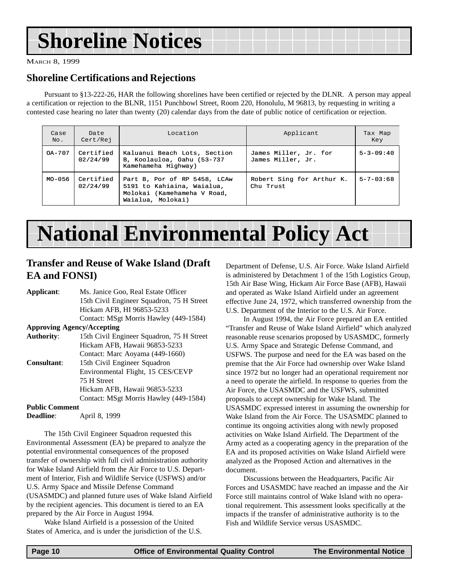## **Shoreline Notices**

MARCH 8, 1999

#### **Shoreline Certifications and Rejections**

Pursuant to §13-222-26, HAR the following shorelines have been certified or rejected by the DLNR. A person may appeal a certification or rejection to the BLNR, 1151 Punchbowl Street, Room 220, Honolulu, M 96813, by requesting in writing a contested case hearing no later than twenty (20) calendar days from the date of public notice of certification or rejection.

| Case<br>No. | Date<br>Cert/Rej      | Location                                                                                                       | Applicant                                  | Tax Map<br>Key    |
|-------------|-----------------------|----------------------------------------------------------------------------------------------------------------|--------------------------------------------|-------------------|
| OA-707      | Certified<br>02/24/99 | Kaluanui Beach Lots, Section<br>B, Koolauloa, Oahu (53-737<br>Kamehameha Highway)                              | James Miller, Jr. for<br>James Miller, Jr. | $5 - 3 - 09 : 40$ |
| MO-056      | Certified<br>02/24/99 | Part B, Por of RP 5458, LCAw<br>5191 to Kahiaina, Waialua,<br>Molokai (Kamehameha V Road,<br>Waialua, Molokai) | Robert Sing for Arthur K.<br>Chu Trust     | $5 - 7 - 03 : 68$ |

## **National Environmental Policy Act**

#### **Transfer and Reuse of Wake Island (Draft EA and FONSI)**

| Applicant:                        | Ms. Janice Goo, Real Estate Officer       |
|-----------------------------------|-------------------------------------------|
|                                   | 15th Civil Engineer Squadron, 75 H Street |
|                                   | Hickam AFB, HI 96853-5233                 |
|                                   | Contact: MSgt Morris Hawley (449-1584)    |
| <b>Approving Agency/Accepting</b> |                                           |
| <b>Authority:</b>                 | 15th Civil Engineer Squadron, 75 H Street |
|                                   | Hickam AFB, Hawaii 96853-5233             |
|                                   | Contact: Marc Aoyama (449-1660)           |
| <b>Consultant:</b>                | 15th Civil Engineer Squadron              |
|                                   | Environmental Flight, 15 CES/CEVP         |
|                                   | 75 H Street                               |
|                                   | Hickam AFB, Hawaii 96853-5233             |
|                                   | Contact: MSgt Morris Hawley (449-1584)    |
| <b>Public Comment</b>             |                                           |
| <b>Deadline:</b>                  | April 8, 1999                             |

The 15th Civil Engineer Squadron requested this Environmental Assessment (EA) be prepared to analyze the potential environmental consequences of the proposed transfer of ownership with full civil administration authority for Wake Island Airfield from the Air Force to U.S. Department of Interior, Fish and Wildlife Service (USFWS) and/or U.S. Army Space and Missile Defense Command (USASMDC) and planned future uses of Wake Island Airfield by the recipient agencies. This document is tiered to an EA prepared by the Air Force in August 1994.

Wake Island Airfield is a possession of the United States of America, and is under the jurisdiction of the U.S. Department of Defense, U.S. Air Force. Wake Island Airfield is administered by Detachment 1 of the 15th Logistics Group, 15th Air Base Wing, Hickam Air Force Base (AFB), Hawaii and operated as Wake Island Airfield under an agreement effective June 24, 1972, which transferred ownership from the U.S. Department of the Interior to the U.S. Air Force.

In August 1994, the Air Force prepared an EA entitled "Transfer and Reuse of Wake Island Airfield" which analyzed reasonable reuse scenarios proposed by USASMDC, formerly U.S. Army Space and Strategic Defense Command, and USFWS. The purpose and need for the EA was based on the premise that the Air Force had ownership over Wake Island since 1972 but no longer had an operational requirement nor a need to operate the airfield. In response to queries from the Air Force, the USASMDC and the USFWS, submitted proposals to accept ownership for Wake Island. The USASMDC expressed interest in assuming the ownership for Wake Island from the Air Force. The USASMDC planned to continue its ongoing activities along with newly proposed activities on Wake Island Airfield. The Department of the Army acted as a cooperating agency in the preparation of the EA and its proposed activities on Wake Island Airfield were analyzed as the Proposed Action and alternatives in the document.

Discussions between the Headquarters, Pacific Air Forces and USASMDC have reached an impasse and the Air Force still maintains control of Wake Island with no operational requirement. This assessment looks specifically at the impacts if the transfer of administrative authority is to the Fish and Wildlife Service versus USASMDC.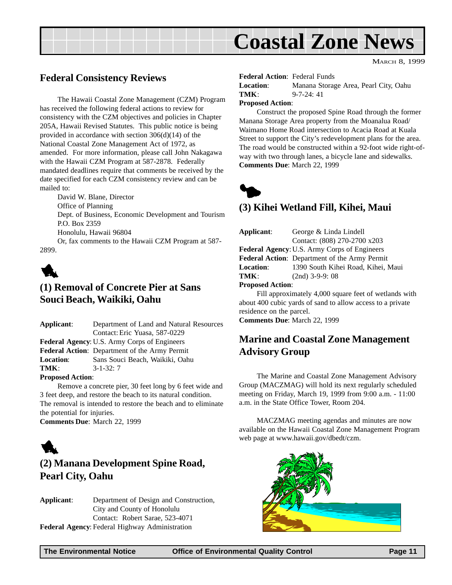

MARCH 8, 1999

#### **Federal Consistency Reviews**

The Hawaii Coastal Zone Management (CZM) Program has received the following federal actions to review for consistency with the CZM objectives and policies in Chapter 205A, Hawaii Revised Statutes. This public notice is being provided in accordance with section 306(d)(14) of the National Coastal Zone Management Act of 1972, as amended. For more information, please call John Nakagawa with the Hawaii CZM Program at 587-2878. Federally mandated deadlines require that comments be received by the date specified for each CZM consistency review and can be mailed to:

David W. Blane, Director Office of Planning Dept. of Business, Economic Development and Tourism P.O. Box 2359 Honolulu, Hawaii 96804 Or, fax comments to the Hawaii CZM Program at 587- 2899.



#### **(1) Removal of Concrete Pier at Sans Souci Beach, Waikiki, Oahu**

| Applicant:              | Department of Land and Natural Resources               |
|-------------------------|--------------------------------------------------------|
|                         | Contact: Eric Yuasa, 587-0229                          |
|                         | <b>Federal Agency: U.S. Army Corps of Engineers</b>    |
|                         | Federal Action: Department of the Army Permit          |
| <b>Location:</b>        | Sans Souci Beach, Waikiki, Oahu                        |
| TMK:                    | $3 - 1 - 32:7$                                         |
| <b>Proposed Action:</b> |                                                        |
|                         | Remove a concrete pier 30 feet long by 6 feet wide and |

Remove a concrete pier, 30 feet long by 6 feet wide and 3 feet deep, and restore the beach to its natural condition. The removal is intended to restore the beach and to eliminate the potential for injuries.

**Comments Due**: March 22, 1999



### **(2) Manana Development Spine Road, Pearl City, Oahu**

**Applicant**: Department of Design and Construction, City and County of Honolulu Contact: Robert Sarae, 523-4071 **Federal Agency**: Federal Highway Administration

#### **Federal Action**: Federal Funds

| <b>Location:</b> | Manana Storage Area, Pearl City, Oahu |  |
|------------------|---------------------------------------|--|
| TMK:             | $9 - 7 - 24$ : 41                     |  |

#### **Proposed Action**:

Construct the proposed Spine Road through the former Manana Storage Area property from the Moanalua Road/ Waimano Home Road intersection to Acacia Road at Kuala Street to support the City's redevelopment plans for the area. The road would be constructed within a 92-foot wide right-ofway with two through lanes, a bicycle lane and sidewalks. **Comments Due**: March 22, 1999



#### **(3) Kihei Wetland Fill, Kihei, Maui**

| Applicant:              | George & Linda Lindell                                        |
|-------------------------|---------------------------------------------------------------|
|                         | Contact: (808) 270-2700 x203                                  |
|                         | <b>Federal Agency: U.S. Army Corps of Engineers</b>           |
|                         | Federal Action: Department of the Army Permit                 |
| <b>Location:</b>        | 1390 South Kihei Road, Kihei, Maui                            |
| TMK:                    | $(2nd)$ 3-9-9: 08                                             |
| <b>Proposed Action:</b> |                                                               |
|                         | $E_{11}^{11}$ enneavimately $4.000$ square feet of wetlands w |

Fill approximately 4,000 square feet of wetlands with about 400 cubic yards of sand to allow access to a private residence on the parcel.

**Comments Due**: March 22, 1999

#### **Marine and Coastal Zone Management Advisory Group**

The Marine and Coastal Zone Management Advisory Group (MACZMAG) will hold its next regularly scheduled meeting on Friday, March 19, 1999 from 9:00 a.m. - 11:00 a.m. in the State Office Tower, Room 204.

MACZMAG meeting agendas and minutes are now available on the Hawaii Coastal Zone Management Program web page at www.hawaii.gov/dbedt/czm.

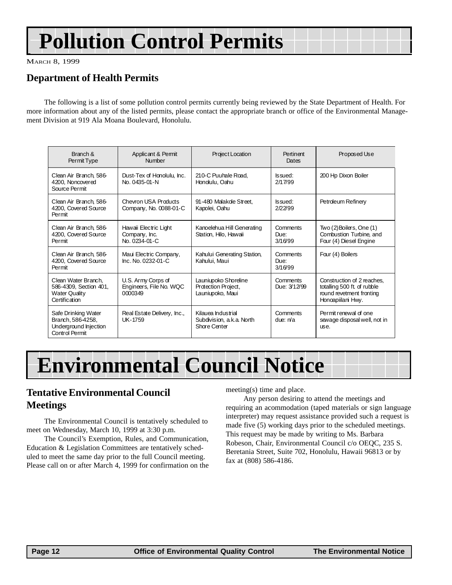## **Pollution Control Permits**

MARCH 8, 1999

### **Department of Health Permits**

The following is a list of some pollution control permits currently being reviewed by the State Department of Health. For more information about any of the listed permits, please contact the appropriate branch or office of the Environmental Management Division at 919 Ala Moana Boulevard, Honolulu.

| Branch &<br>Permit Type                                                                | Applicant & Permit<br>Number                             | Project Location                                                       | Pertinent<br>Dates          | Proposed Use                                                                                               |
|----------------------------------------------------------------------------------------|----------------------------------------------------------|------------------------------------------------------------------------|-----------------------------|------------------------------------------------------------------------------------------------------------|
| Clean Air Branch, 586-<br>4200, Noncovered<br>Source Permit                            | Dust-Tex of Honolulu, Inc.<br>No. 0435-01-N              | 210-C Puuhale Road.<br>Hondulu, Oahu                                   | <b>s</b> sued:<br>2/17/99   | 200 Hp Dixon Boiler                                                                                        |
| Clean Air Branch, 586-<br>4200, Covered Source<br>Permit                               | <b>Chevron USA Products</b><br>Company, No. 0088-01-C    | 91-480 Malakole Street,<br>Kapolei, Oahu                               | <b>Issued:</b><br>2/22/99   | Petroleum Refinery                                                                                         |
| Clean Air Branch, 586-<br>4200, Covered Source<br>Permit                               | Hawaii Electric Light<br>Company, Inc.<br>No. 0234-01-C  | Kanoelehua Hill Generating<br>Station, Hilo, Hawaii                    | Comments<br>Due:<br>3/16/99 | Two (2) Boilers, One (1)<br>Combustion Turbine, and<br>Four (4) Diesel Engine                              |
| Clean Air Branch, 586-<br>4200, Covered Source<br>Permit                               | Maui Electric Company,<br>Inc. No. 0232-01-C             | Kahului Generating Station,<br>Kahului, Maui                           | Comments<br>Due:<br>3/16/99 | Four (4) Boilers                                                                                           |
| Clean Water Branch.<br>586-4309, Section 401,<br><b>Water Quality</b><br>Certification | U.S. Army Corps of<br>Engineers, File No. WQC<br>0000349 | Launiupoko Shoreline<br>Protection Project,<br>Launiupoko, Maui        | Comments<br>Due: 3/12/99    | Construction of 2 reaches,<br>totalling 500 ft. of rubble<br>round revetment fronting<br>Honoapiilani Hwy. |
| Safe Drinking Water<br>Branch, 586-4258,<br>Underground Injection<br>Control Permit    | Real Estate Delivery, Inc.,<br>UK-1759                   | Kilauea Industrial<br>Subdivision, a.k.a. North<br><b>Shore Center</b> | Comments<br>due: $n/a$      | Permit renewal of one<br>sewage disposal well, not in<br>use.                                              |

## **Environmental Council Notice**

#### **Tentative Environmental Council Meetings**

The Environmental Council is tentatively scheduled to meet on Wednesday, March 10, 1999 at 3:30 p.m.

The Council's Exemption, Rules, and Communication, Education & Legislation Committees are tentatively scheduled to meet the same day prior to the full Council meeting. Please call on or after March 4, 1999 for confirmation on the meeting(s) time and place.

Any person desiring to attend the meetings and requiring an acommodation (taped materials or sign language interpreter) may request assistance provided such a request is made five (5) working days prior to the scheduled meetings. This request may be made by writing to Ms. Barbara Robeson, Chair, Environmental Council c/o OEQC, 235 S. Beretania Street, Suite 702, Honolulu, Hawaii 96813 or by fax at (808) 586-4186.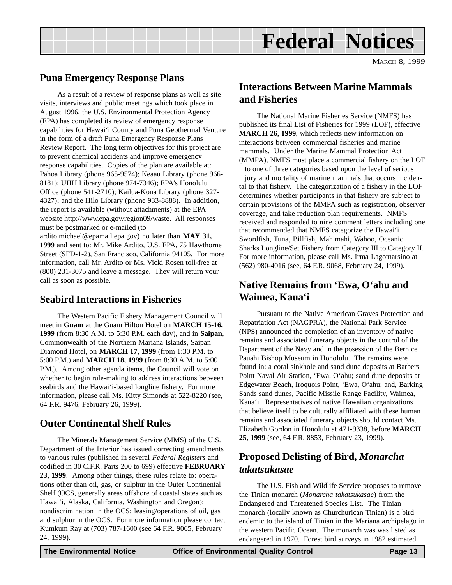

#### **Puna Emergency Response Plans**

As a result of a review of response plans as well as site visits, interviews and public meetings which took place in August 1996, the U.S. Environmental Protection Agency (EPA) has completed its review of emergency response capabilities for Hawai'i County and Puna Geothermal Venture in the form of a draft Puna Emergency Response Plans Review Report. The long term objectives for this project are to prevent chemical accidents and improve emergency response capabilities. Copies of the plan are available at: Pahoa Library (phone 965-9574); Keaau Library (phone 966- 8181); UHH Library (phone 974-7346); EPA's Honolulu Office (phone 541-2710); Kailua-Kona Library (phone 327- 4327); and the Hilo Library (phone 933-8888). In addition, the report is available (without attachments) at the EPA website http://www.epa.gov/region09/waste. All responses must be postmarked or e-mailed (to ardito.michael@epamail.epa.gov) no later than **MAY 31, 1999** and sent to: Mr. Mike Ardito, U.S. EPA, 75 Hawthorne Street (SFD-1-2), San Francisco, California 94105. For more information, call Mr. Ardito or Ms. Vicki Rosen toll-free at (800) 231-3075 and leave a message. They will return your call as soon as possible.

#### **Seabird Interactions in Fisheries**

The Western Pacific Fishery Management Council will meet in **Guam** at the Guam Hilton Hotel on **MARCH 15-16, 1999** (from 8:30 A.M. to 5:30 P.M. each day), and in **Saipan**, Commonwealth of the Northern Mariana Islands, Saipan Diamond Hotel, on **MARCH 17, 1999** (from 1:30 P.M. to 5:00 P.M.) and **MARCH 18, 1999** (from 8:30 A.M. to 5:00 P.M.). Among other agenda items, the Council will vote on whether to begin rule-making to address interactions between seabirds and the Hawai'i-based longline fishery. For more information, please call Ms. Kitty Simonds at 522-8220 (see, 64 F.R. 9476, February 26, 1999).

#### **Outer Continental Shelf Rules**

The Minerals Management Service (MMS) of the U.S. Department of the Interior has issued correcting amendments to various rules (published in several *Federal Registers* and codified in 30 C.F.R. Parts 200 to 699) effective **FEBRUARY 23, 1999**. Among other things, these rules relate to: operations other than oil, gas, or sulphur in the Outer Continental Shelf (OCS, generally areas offshore of coastal states such as Hawai'i, Alaska, California, Washington and Oregon); nondiscrimination in the OCS; leasing/operations of oil, gas and sulphur in the OCS. For more information please contact Kumkum Ray at (703) 787-1600 (see 64 F.R. 9065, February 24, 1999).

#### **Interactions Between Marine Mammals and Fisheries**

The National Marine Fisheries Service (NMFS) has published its final List of Fisheries for 1999 (LOF), effective **MARCH 26, 1999**, which reflects new information on interactions between commercial fisheries and marine mammals. Under the Marine Mammal Protection Act (MMPA), NMFS must place a commercial fishery on the LOF into one of three categories based upon the level of serious injury and mortality of marine mammals that occurs incidental to that fishery. The categorization of a fishery in the LOF determines whether participants in that fishery are subject to certain provisions of the MMPA such as registration, observer coverage, and take reduction plan requirements. NMFS received and responded to nine comment letters including one that recommended that NMFS categorize the Hawai'i Swordfish, Tuna, Billfish, Mahimahi, Wahoo, Oceanic Sharks Longline/Set Fishery from Category III to Category II. For more information, please call Ms. Irma Lagomarsino at (562) 980-4016 (see, 64 F.R. 9068, February 24, 1999).

### **Native Remains from 'Ewa, O'ahu and Waimea, Kaua'i**

Pursuant to the Native American Graves Protection and Repatriation Act (NAGPRA), the National Park Service (NPS) announced the completion of an inventory of native remains and associated funerary objects in the control of the Department of the Navy and in the posession of the Bernice Pauahi Bishop Museum in Honolulu. The remains were found in: a coral sinkhole and sand dune deposits at Barbers Point Naval Air Station, 'Ewa, O'ahu; sand dune deposits at Edgewater Beach, Iroquois Point, 'Ewa, O'ahu; and, Barking Sands sand dunes, Pacific Missile Range Facility, Waimea, Kaua'i. Representatives of native Hawaiian organizations that believe itself to be culturally affiliated with these human remains and associated funerary objects should contact Ms. Elizabeth Gordon in Honolulu at 471-9338, before **MARCH 25, 1999** (see, 64 F.R. 8853, February 23, 1999).

#### **Proposed Delisting of Bird,** *Monarcha takatsukasae*

The U.S. Fish and Wildlife Service proposes to remove the Tinian monarch (*Monarcha takatsukasae*) from the Endangered and Threatened Species List. The Tinian monarch (locally known as Churchurican Tinian) is a bird endemic to the island of Tinian in the Mariana archipelago in the western Pacific Ocean. The monarch was was listed as endangered in 1970. Forest bird surveys in 1982 estimated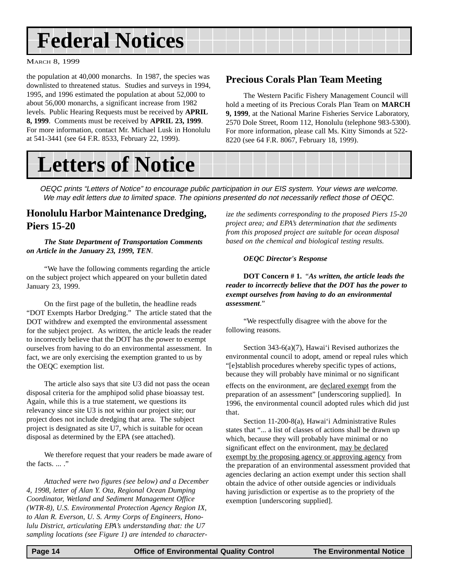## **Federal Notices**

MARCH 8, 1999

the population at 40,000 monarchs. In 1987, the species was downlisted to threatened status. Studies and surveys in 1994, 1995, and 1996 estimated the population at about 52,000 to about 56,000 monarchs, a significant increase from 1982 levels. Public Hearing Requests must be received by **APRIL 8, 1999**. Comments must be received by **APRIL 23, 1999**. For more information, contact Mr. Michael Lusk in Honolulu at 541-3441 (see 64 F.R. 8533, February 22, 1999).

#### **Precious Corals Plan Team Meeting**

The Western Pacific Fishery Management Council will hold a meeting of its Precious Corals Plan Team on **MARCH 9, 1999**, at the National Marine Fisheries Service Laboratory, 2570 Dole Street, Room 112, Honolulu (telephone 983-5300). For more information, please call Ms. Kitty Simonds at 522- 8220 (see 64 F.R. 8067, February 18, 1999).

## **Letters of Notice**

OEQC prints "Letters of Notice" to encourage public participation in our EIS system. Your views are welcome. We may edit letters due to limited space. The opinions presented do not necessarily reflect those of OEQC.

#### **Honolulu Harbor Maintenance Dredging, Piers 15-20**

#### *The State Department of Transportation Comments on Article in the January 23, 1999, TEN.*

"We have the following comments regarding the article on the subject project which appeared on your bulletin dated January 23, 1999.

On the first page of the bulletin, the headline reads "DOT Exempts Harbor Dredging." The article stated that the DOT withdrew and exempted the environmental assessment for the subject project. As written, the article leads the reader to incorrectly believe that the DOT has the power to exempt ourselves from having to do an environmental assessment. In fact, we are only exercising the exemption granted to us by the OEQC exemption list.

The article also says that site U3 did not pass the ocean disposal criteria for the amphipod solid phase bioassay test. Again, while this is a true statement, we questions its relevancy since site U3 is not within our project site; our project does not include dredging that area. The subject project is designated as site U7, which is suitable for ocean disposal as determined by the EPA (see attached).

We therefore request that your readers be made aware of the facts. ... ."

*Attached were two figures (see below) and a December 4, 1998, letter of Alan Y. Ota, Regional Ocean Dumping Coordinator, Wetland and Sediment Management Office (WTR-8), U.S. Environmental Protection Agency Region IX, to Alan R. Everson, U. S. Army Corps of Engineers, Honolulu District, articulating EPA's understanding that: the U7 sampling locations (see Figure 1) are intended to character-*

*ize the sediments corresponding to the proposed Piers 15-20 project area; and EPA's determination that the sediments from this proposed project are suitable for ocean disposal based on the chemical and biological testing results.*

#### *OEQC Director's Response*

**DOT Concern # 1.** "*As written, the article leads the reader to incorrectly believe that the DOT has the power to exempt ourselves from having to do an environmental assessment*."

"We respectfully disagree with the above for the following reasons.

Section 343-6(a)(7), Hawai'i Revised authorizes the environmental council to adopt, amend or repeal rules which "[e]stablish procedures whereby specific types of actions, because they will probably have minimal or no significant

effects on the environment, are declared exempt from the preparation of an assessment" [underscoring supplied]. In 1996, the environmental council adopted rules which did just that.

Section 11-200-8(a), Hawai'i Administrative Rules states that "... a list of classes of actions shall be drawn up which, because they will probably have minimal or no significant effect on the environment, may be declared exempt by the proposing agency or approving agency from the preparation of an environmental assessment provided that agencies declaring an action exempt under this section shall obtain the advice of other outside agencies or individuals having jurisdiction or expertise as to the propriety of the exemption [underscoring supplied].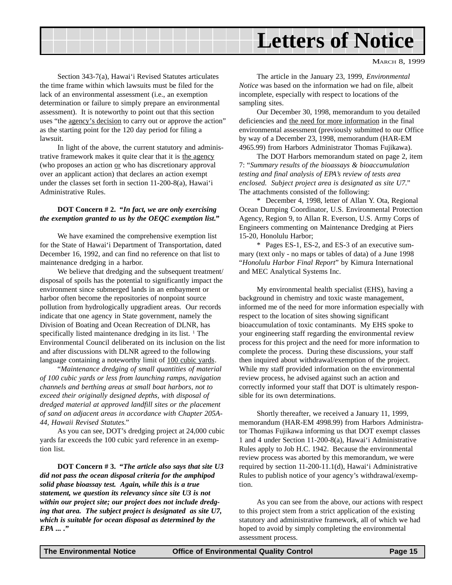## **Letters of Notice**

MARCH 8, 1999

Section 343-7(a), Hawai'i Revised Statutes articulates the time frame within which lawsuits must be filed for the lack of an environmental assessment (i.e., an exemption determination or failure to simply prepare an environmental assessment). It is noteworthy to point out that this section uses "the agency's decision to carry out or approve the action" as the starting point for the 120 day period for filing a lawsuit.

In light of the above, the current statutory and administrative framework makes it quite clear that it is the agency (who proposes an action or who has discretionary approval over an applicant action) that declares an action exempt under the classes set forth in section 11-200-8(a), Hawai'i Administrative Rules.

#### **DOT Concern # 2. "***In fact, we are only exercising the exemption granted to us by the OEQC exemption list***."**

We have examined the comprehensive exemption list for the State of Hawai'i Department of Transportation, dated December 16, 1992, and can find no reference on that list to maintenance dredging in a harbor.

We believe that dredging and the subsequent treatment/ disposal of spoils has the potential to significantly impact the environment since submerged lands in an embayment or harbor often become the repositories of nonpoint source pollution from hydrologically upgradient areas. Our records indicate that one agency in State government, namely the Division of Boating and Ocean Recreation of DLNR, has specifically listed maintenance dredging in its list.<sup>1</sup> The Environmental Council deliberated on its inclusion on the list and after discussions with DLNR agreed to the following language containing a noteworthy limit of 100 cubic yards.

"*Maintenance dredging of small quantities of material of 100 cubic yards or less from launching ramps, navigation channels and berthing areas at small boat harbors, not to exceed their originally designed depths, with disposal of dredged material at approved landfill sites or the placement of sand on adjacent areas in accordance with Chapter 205A-44, Hawaii Revised Statutes.*"

As you can see, DOT's dredging project at 24,000 cubic yards far exceeds the 100 cubic yard reference in an exemption list.

**DOT Concern # 3. "***The article also says that site U3 did not pass the ocean disposal criteria for the amphipod solid phase bioassay test. Again, while this is a true statement, we question its relevancy since site U3 is not within our project site; our project does not include dredging that area. The subject project is designated as site U7, which is suitable for ocean disposal as determined by the EPA ... .***"**

The article in the January 23, 1999, *Environmental Notice* was based on the information we had on file, albeit incomplete, especially with respect to locations of the sampling sites.

Our December 30, 1998, memorandum to you detailed deficiencies and the need for more information in the final environmental assessment (previously submitted to our Office by way of a December 23, 1998, memorandum (HAR-EM 4965.99) from Harbors Administrator Thomas Fujikawa).

The DOT Harbors memorandum stated on page 2, item 7: "*Summary results of the bioassays & bioaccumulation testing and final analysis of EPA's review of tests area enclosed. Subject project area is designated as site U7.*" The attachments consisted of the following:

\* December 4, 1998, letter of Allan Y. Ota, Regional Ocean Dumping Coordinator, U.S. Environmental Protection Agency, Region 9, to Allan R. Everson, U.S. Army Corps of Engineers commenting on Maintenance Dredging at Piers 15-20, Honolulu Harbor;

\* Pages ES-1, ES-2, and ES-3 of an executive summary (text only - no maps or tables of data) of a June 1998 "*Honolulu Harbor Final Report*" by Kimura International and MEC Analytical Systems Inc.

My environmental health specialist (EHS), having a background in chemistry and toxic waste management, informed me of the need for more information especially with respect to the location of sites showing significant bioaccumulation of toxic contaminants. My EHS spoke to your engineering staff regarding the environmental review process for this project and the need for more information to complete the process. During these discussions, your staff then inquired about withdrawal/exemption of the project. While my staff provided information on the environmental review process, he advised against such an action and correctly informed your staff that DOT is ultimately responsible for its own determinations.

Shortly thereafter, we received a January 11, 1999, memorandum (HAR-EM 4998.99) from Harbors Administrator Thomas Fujikawa informing us that DOT exempt classes 1 and 4 under Section 11-200-8(a), Hawai'i Administrative Rules apply to Job H.C. 1942. Because the environmental review process was aborted by this memorandum, we were required by section 11-200-11.1(d), Hawai'i Administrative Rules to publish notice of your agency's withdrawal/exemption.

As you can see from the above, our actions with respect to this project stem from a strict application of the existing statutory and administrative framework, all of which we had hoped to avoid by simply completing the environmental assessment process.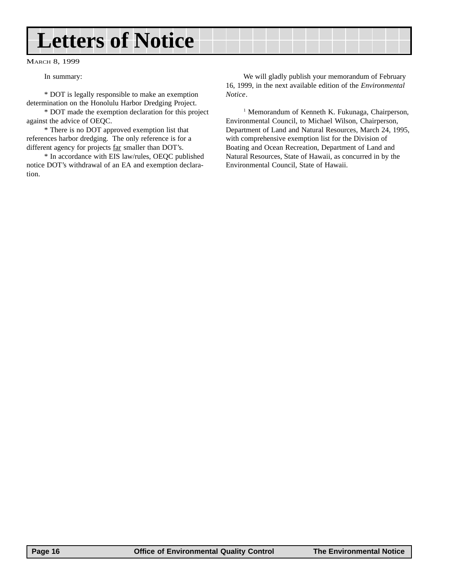## **Letters of Notice**

MARCH 8, 1999

In summary:

\* DOT is legally responsible to make an exemption determination on the Honolulu Harbor Dredging Project.

\* DOT made the exemption declaration for this project against the advice of OEQC.

\* There is no DOT approved exemption list that references harbor dredging. The only reference is for a different agency for projects far smaller than DOT's.

\* In accordance with EIS law/rules, OEQC published notice DOT's withdrawal of an EA and exemption declaration.

We will gladly publish your memorandum of February 16, 1999, in the next available edition of the *Environmental Notice*.

<sup>1</sup> Memorandum of Kenneth K. Fukunaga, Chairperson, Environmental Council, to Michael Wilson, Chairperson, Department of Land and Natural Resources, March 24, 1995, with comprehensive exemption list for the Division of Boating and Ocean Recreation, Department of Land and Natural Resources, State of Hawaii, as concurred in by the Environmental Council, State of Hawaii.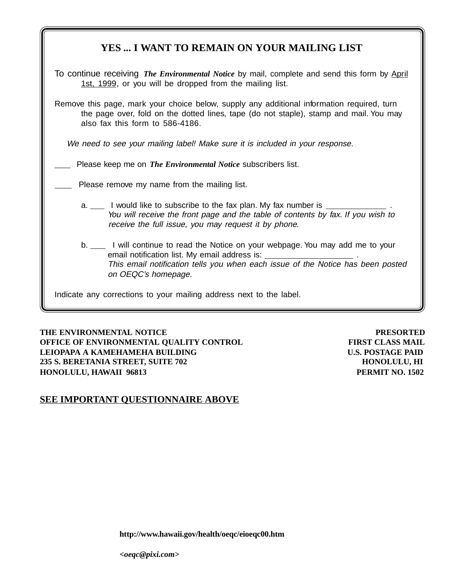| YES  I WANT TO REMAIN ON YOUR MAILING LIST                                                                                                                                                                                                       |  |  |  |  |
|--------------------------------------------------------------------------------------------------------------------------------------------------------------------------------------------------------------------------------------------------|--|--|--|--|
| To continue receiving <i>The Environmental Notice</i> by mail, complete and send this form by April<br>1st, 1999, or you will be dropped from the mailing list.                                                                                  |  |  |  |  |
| Remove this page, mark your choice below, supply any additional information required, turn<br>the page over, fold on the dotted lines, tape (do not staple), stamp and mail. You may<br>also fax this form to 586-4186.                          |  |  |  |  |
| We need to see your mailing label! Make sure it is included in your response.                                                                                                                                                                    |  |  |  |  |
| Please keep me on The Environmental Notice subscribers list.                                                                                                                                                                                     |  |  |  |  |
| Please remove my name from the mailing list.                                                                                                                                                                                                     |  |  |  |  |
| a. _____ I would like to subscribe to the fax plan. My fax number is<br>You will receive the front page and the table of contents by fax. If you wish to<br>receive the full issue, you may request it by phone.                                 |  |  |  |  |
| b. _____ I will continue to read the Notice on your webpage. You may add me to your<br>email notification list. My email address is: _<br>This email notification tells you when each issue of the Notice has been posted<br>on OEQC's homepage. |  |  |  |  |
| Indicate any corrections to your mailing address next to the label.                                                                                                                                                                              |  |  |  |  |

**THE ENVIRONMENTAL NOTICE PRESORTED OFFICE OF ENVIRONMENTAL QUALITY CONTROL FIRST CLASS MAIL LEIOPAPA A KAMEHAMEHA BUILDING U.S. POSTAGE PAID 235 S. BERETANIA STREET, SUITE 702 HONOLULU, HI HONOLULU, HAWAII 96813 PERMIT NO. 1502**

#### **SEE IMPORTANT QUESTIONNAIRE ABOVE**

**http://www.hawaii.gov/health/oeqc/eioeqc00.htm**

*<oeqc@pixi.com>*